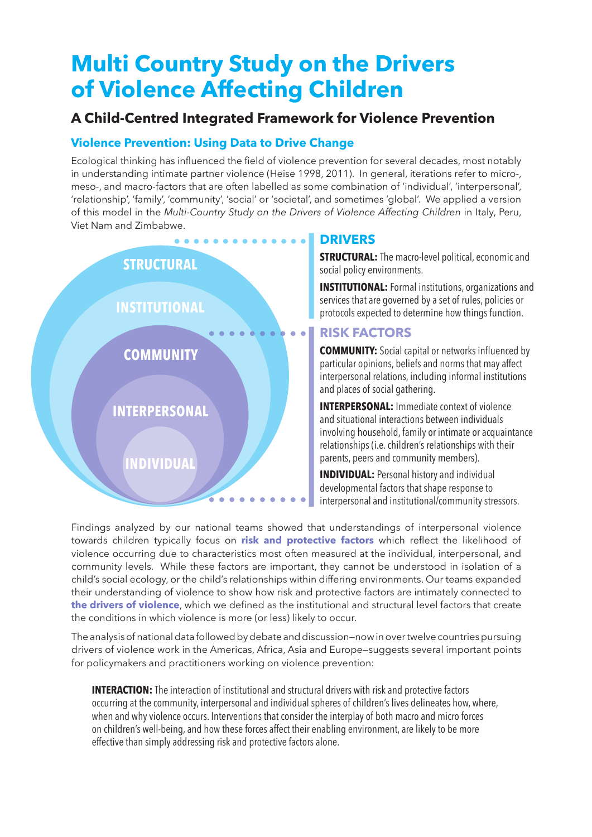# **Multi Country Study on the Drivers of Violence Affecting Children**

## **A Child-Centred Integrated Framework for Violence Prevention**

## **Violence Prevention: Using Data to Drive Change**

Ecological thinking has influenced the field of violence prevention for several decades, most notably in understanding intimate partner violence (Heise 1998, 2011). In general, iterations refer to micro-, meso-, and macro-factors that are often labelled as some combination of 'individual', 'interpersonal', 'relationship', 'family', 'community', 'social' or 'societal', and sometimes 'global'. We applied a version of this model in the *Multi-Country Study on the Drivers of Violence Affecting Children* in Italy, Peru, Viet Nam and Zimbabwe.



#### **DRIVERS**

**STRUCTURAL:** The macro-level political, economic and social policy environments.

**INSTITUTIONAL:** Formal institutions, organizations and services that are governed by a set of rules, policies or protocols expected to determine how things function.

### **RISK FACTORS**

**COMMUNITY:** Social capital or networks influenced by particular opinions, beliefs and norms that may affect interpersonal relations, including informal institutions and places of social gathering.

**INTERPERSONAL:** Immediate context of violence and situational interactions between individuals involving household, family or intimate or acquaintance relationships (i.e. children's relationships with their parents, peers and community members).

**INDIVIDUAL:** Personal history and individual developmental factors that shape response to interpersonal and institutional/community stressors.

Findings analyzed by our national teams showed that understandings of interpersonal violence towards children typically focus on **risk and protective factors** which reflect the likelihood of violence occurring due to characteristics most often measured at the individual, interpersonal, and community levels. While these factors are important, they cannot be understood in isolation of a child's social ecology, or the child's relationships within differing environments. Our teams expanded their understanding of violence to show how risk and protective factors are intimately connected to **the drivers of violence**, which we defined as the institutional and structural level factors that create the conditions in which violence is more (or less) likely to occur.

The analysis of national data followed by debate and discussion—now in over twelve countries pursuing drivers of violence work in the Americas, Africa, Asia and Europe—suggests several important points for policymakers and practitioners working on violence prevention:

**INTERACTION:** The interaction of institutional and structural drivers with risk and protective factors occurring at the community, interpersonal and individual spheres of children's lives delineates how, where, when and why violence occurs. Interventions that consider the interplay of both macro and micro forces on children's well-being, and how these forces affect their enabling environment, are likely to be more effective than simply addressing risk and protective factors alone.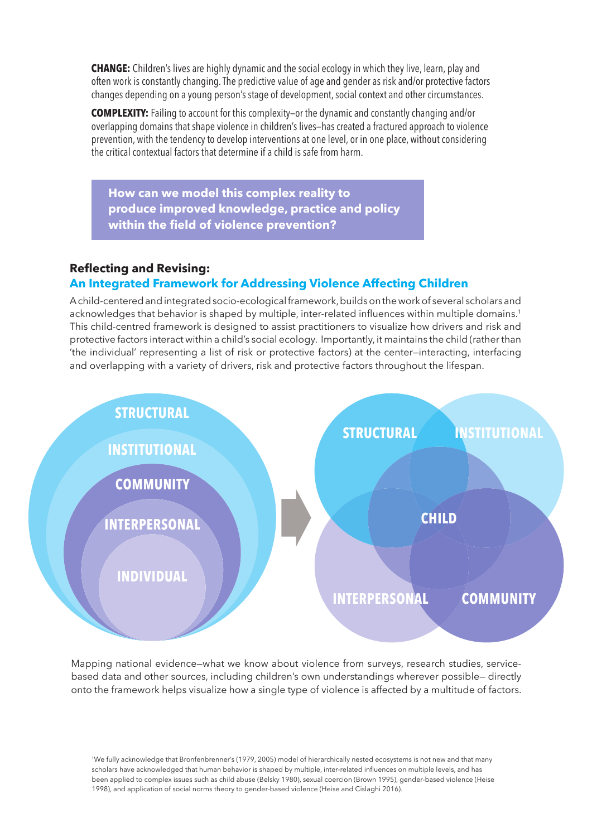**CHANGE:** Children's lives are highly dynamic and the social ecology in which they live, learn, play and often work is constantly changing. The predictive value of age and gender as risk and/or protective factors changes depending on a young person's stage of development, social context and other circumstances.

**COMPLEXITY:** Failing to account for this complexity—or the dynamic and constantly changing and/or overlapping domains that shape violence in children's lives—has created a fractured approach to violence prevention, with the tendency to develop interventions at one level, or in one place, without considering the critical contextual factors that determine if a child is safe from harm.

**How can we model this complex reality to produce improved knowledge, practice and policy within the field of violence prevention?**

#### **Reflecting and Revising:**

#### **An Integrated Framework for Addressing Violence Affecting Children**

A child-centered and integrated socio-ecological framework, builds on the work of several scholars and acknowledges that behavior is shaped by multiple, inter-related influences within multiple domains.<sup>1</sup> This child-centred framework is designed to assist practitioners to visualize how drivers and risk and protective factors interact within a child's social ecology. Importantly, it maintains the child (rather than 'the individual' representing a list of risk or protective factors) at the center—interacting, interfacing and overlapping with a variety of drivers, risk and protective factors throughout the lifespan.



Mapping national evidence—what we know about violence from surveys, research studies, servicebased data and other sources, including children's own understandings wherever possible— directly onto the framework helps visualize how a single type of violence is affected by a multitude of factors.

1We fully acknowledge that Bronfenbrenner's (1979, 2005) model of hierarchically nested ecosystems is not new and that many scholars have acknowledged that human behavior is shaped by multiple, inter-related influences on multiple levels, and has been applied to complex issues such as child abuse (Belsky 1980), sexual coercion (Brown 1995), gender-based violence (Heise 1998), and application of social norms theory to gender-based violence (Heise and Cislaghi 2016).